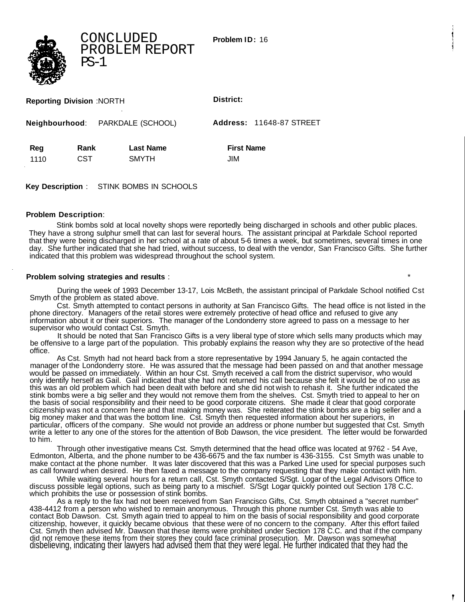CONCLUDED PROBLEM REPORT PS-1

**Problem ID:** 16

| <b>Reporting Division :NORTH</b> |             |                                  | District:                       |  |
|----------------------------------|-------------|----------------------------------|---------------------------------|--|
| Neighbourhood: PARKDALE (SCHOOL) |             |                                  | <b>Address: 11648-87 STREET</b> |  |
| Reg<br>1110                      | Rank<br>CST | <b>Last Name</b><br><b>SMYTH</b> | <b>First Name</b><br>JIM        |  |

**Key Description** : STINK BOMBS IN SCHOOLS

## **Problem Description**:

Stink bombs sold at local novelty shops were reportedly being discharged in schools and other public places. They have a strong sulphur smell that can last for several hours. The assistant principal at Parkdale School reported that they were being discharged in her school at a rate of about 5-6 times a week, but sometimes, several times in one day. She further indicated that she had tried, without success, to deal with the vendor, San Francisco Gifts. She further indicated that this problem was widespread throughout the school system.

## **Problem solving strategies and results** : \*

During the week of 1993 December 13-17, Lois McBeth, the assistant principal of Parkdale School notified Cst Smyth of the problem as stated above.

Cst. Smyth attempted to contact persons in authority at San Francisco Gifts. The head office is not listed in the phone directory. Managers of the retail stores were extremely protective of head office and refused to give any information about it or their superiors. The manager of the Londonderry store agreed to pass on a message to her supervisor who would contact Cst. Smyth.

It should be noted that San Francisco Gifts is a very liberal type of store which sells many products which may be offensive to a large part of the population. This probably explains the reason why they are so protective of the head office.

As Cst. Smyth had not heard back from a store representative by 1994 January 5, he again contacted the manager of the Londonderry store. He was assured that the message had been passed on and that another message would be passed on immediately. Within an hour Cst. Smyth received a call from the district supervisor, who would only identify herself as Gail. Gail indicated that she had not returned his call because she felt it would be of no use as this was an old problem which had been dealt with before and she did not wish to rehash it. She further indicated the stink bombs were a big seller and they would not remove them from the shelves. Cst. Smyth tried to appeal to her on the basis of social responsibility and their need to be good corporate citizens. She made it clear that good corporate citizenship was not a concern here and that making money was. She reiterated the stink bombs are a big seller and a big money maker and that was the bottom line. Cst. Smyth then requested information about her superiors, in particular, officers of the company. She would not provide an address or phone number but suggested that Cst. Smyth write a letter to any one of the stores for the attention of Bob Dawson, the vice president. The letter would be forwarded to him.

Through other investigative means Cst. Smyth determined that the head office was located at 9762 - 54 Ave, Edmonton, Alberta, and the phone number to be 436-6675 and the fax number is 436-3155. Cst Smyth was unable to make contact at the phone number. It was later discovered that this was a Parked Line used for special purposes such as call forward when desired. He then faxed a message to the company requesting that they make contact with him.

While waiting several hours for a return call, Cst. Smyth contacted S/Sgt. Logar of the Legal Advisors Office to discuss possible legal options, such as being party to a mischief. S/Sgt Logar quickly pointed out Section 178 C.C. which prohibits the use or possession of stink bombs.

As a reply to the fax had not been received from San Francisco Gifts, Cst. Smyth obtained a "secret number" 438-4412 from a person who wished to remain anonymous. Through this phone number Cst. Smyth was able to contact Bob Dawson. Cst. Smyth again tried to appeal to him on the basis of social responsibility and good corporate citizenship, however, it quickly became obvious that these were of no concern to the company. After this effort failed Cst. Smyth then advised Mr. Dawson that these items were prohibited under Section 178 C.C. and that if the company did not remove these items from their stores they could face criminal prosecution. Mr. Dawson was somewhat disbelieving, indicating their lawyers had advised them that they were legal. He further indicated that they had the

۴